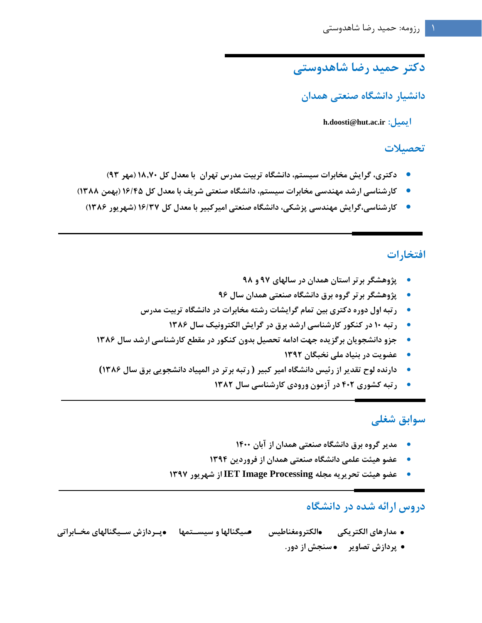# **دکتر حمید رضا شاهدوستی**

**دانشیار دانشگاه صنعتی همدان**

 **h.doosti@hut.ac.ir :ايمیل** 

#### **تحصیالت**

- **دکتری، گرايش مخابرات سیستم، دانشگاه تربیت مدرس تهران با معدل کل 18.70 )مهر 93(**
- **کارشناسی ارشد مهندسی مخابرات سیستم، دانشگاه صنعتی شريف با معدل کل 16/45 )بهمن 1388(**
	- **کارشناسی،گرايش مهندسی پزشکی، دانشگاه صنعتی امیرکبیر با معدل کل 16/37 )شهريور 1386(**

## **افتخارات**

- **پژوهشگر برتر استان همدان در سالهای 97 و 98**
- **پژوهشگر برتر گروه برق دانشگاه صنعتی همدان سال 96**
- **رتبه اول دوره دکتری بین تمام گرايشات رشته مخابرات در دانشگاه تربیت مدرس**
	- **رتبه 10 در کنکور کارشناسی ارشد برق در گرايش الکترونیک سال 1386**
- **جزو دانشجويان برگزيده جهت ادامه تحصیل بدون کنکور در مقطع کارشناسی ارشد سال 1386**
	- **عضويت در بنیاد ملی نخبگان 1392**
- **دارنده لوح تقدير از رئیس دانشگاه امیر کبیر ( رتبه برتر در المپیاد دانشجويی برق سال 1386)**
	- **رتبه کشوری 402 در آزمون ورودی کارشناسی سال 1382**

## **سوابق شغلی**

- **مدير گروه برق دانشگاه صنعتی همدان از آبان 1400**
- **عضو هیئت علمی دانشگاه صنعتی همدان از فروردين 1394**
- **عضو هیئت تحريريه مجله Processing Image IET از شهريور 1397**

## **دروس ارائه شده در دانشگاه**

- **مدارهای الکتريکی الکترومغناطیس سیگنالها و سیستتمها پتردازس ستیگنالهای مختابراتی** 
	- **پردازس تصاوير سنجش از دور.**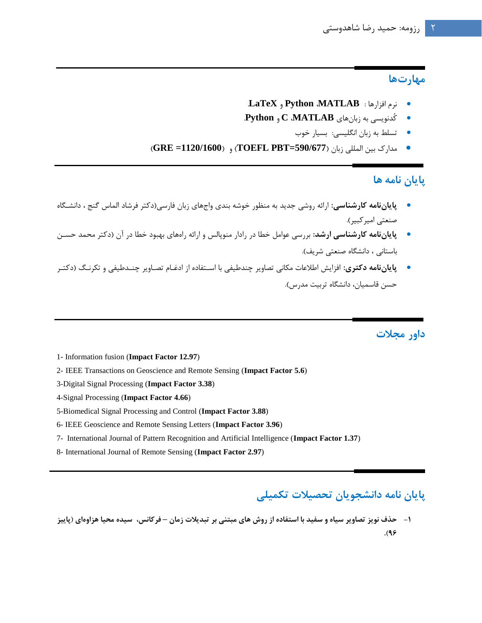#### **مهارتها**

- .**LaTeX** و **Python** ،**MATLAB** : افزارها نرم
- کُدنويسی به زبانهاي **MATLAB**، **C** و **Python**.
	- تسلط به زبان انگلیسی: بسیار خوب
- مدارک بین المللی زبان )**590/677=PBT TOEFL** )و )**1120/1600= GRE**)

## **پايان نامه ها**

- **پاياننامه کارشناسی:** ارائه روشی جديد به منظور خوشه بندي واجهاي زبان فارسی)دکتر فرشاد الماس گنج ، دانشگگا صنعتی امیر کبیر).
- پ**اياننامه کارشناسی ارشد:** بررسی عوامل خطا در رادار منوپالس و ارائه رامهای بهبود خطا در آن (دکتر محمد حسـن باستانی ، دانشگاه صنعتی شريف).
- پ**اياننامه دکتری**: افزايش اطلاعات مکانی تصاوير چندطيفی با اسـتفاده از ادغـام تصـاوير چنـدطيفی و تکرنـگ (دکتـر حسن قاسمیان، دانشگاه تربیت مدرس).

## **داور مجالت**

- 1- Information fusion (**Impact Factor 12.97**)
- 2- IEEE Transactions on Geoscience and Remote Sensing (**Impact Factor 5.6**)
- 3-Digital Signal Processing (**Impact Factor 3.38**)
- 4-Signal Processing (**Impact Factor 4.66**)
- 5-Biomedical Signal Processing and Control (**Impact Factor 3.88**)
- 6- IEEE Geoscience and Remote Sensing Letters (**Impact Factor 3.96**)
- 7- International Journal of Pattern Recognition and Artificial Intelligence (**Impact Factor 1.37**)
- 8- International Journal of Remote Sensing (**Impact Factor 2.97**)

## **پايان نامه دانشجويان تحصیالت تکمیلی**

**-1 حذف نويز تصاوير سیاه و سفید با استفاده از روس های مبتنی بر تبديالت زمان – فرکانس، سیده محیا هزاوهای )پايیز .)96**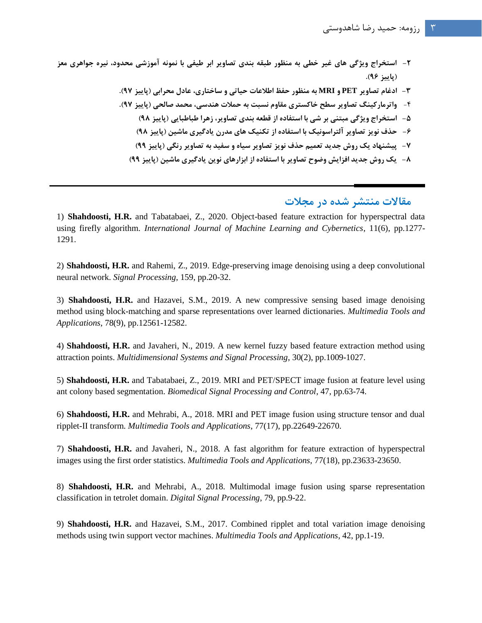- **-2 استخراج ويژگی های غیر خطی به منظور طبقه بندی تصاوير ابر طیفی با نمونه آموزشی محدود، نیره جواهری معز )پايیز 96(.**
	- **-3 ادغام تصاوير PET و MRI به منظور حفظ اطالعات حیاتی و ساختاری، عادل محرابی )پايیز 97(.**
	- -4 **واترمارکینگ تصاوير سطح خاکستری مقاوم نسبت به حمالت هندسی، محمد صالحی )پايیز 97(.**
		- **-5 استخراج ويژگی مبتنی بر شی با استفاده از قطعه بندی تصاوير، زهرا طباطبايی )پايیز 98(**
			- **-6 حذف نويز تصاوير آلتراسونیک با استفاده از تکنیک های مدرن يادگیری ماشین )پايیز 98(**
		- **-7 پیشنهاد يک روس جديد تعمیم حذف نويز تصاوير سیاه و سفید به تصاوير رنگی )پايیز 99(**
		- **-8 يک روس جديد افزايش وضوح تصاوير با استفاده از ابزارهای نوين يادگیری ماشین )پايیز 99(**

### **مقاالت منتشر شده در مجالت**

1) **Shahdoosti, H.R.** and Tabatabaei, Z., 2020. Object-based feature extraction for hyperspectral data using firefly algorithm. *International Journal of Machine Learning and Cybernetics*, 11(6), pp.1277- 1291.

2) **Shahdoosti, H.R.** and Rahemi, Z., 2019. Edge-preserving image denoising using a deep convolutional neural network. *Signal Processing*, 159, pp.20-32.

3) **Shahdoosti, H.R.** and Hazavei, S.M., 2019. A new compressive sensing based image denoising method using block-matching and sparse representations over learned dictionaries. *Multimedia Tools and Applications*, 78(9), pp.12561-12582.

4) **Shahdoosti, H.R.** and Javaheri, N., 2019. A new kernel fuzzy based feature extraction method using attraction points. *Multidimensional Systems and Signal Processing*, 30(2), pp.1009-1027.

5) **Shahdoosti, H.R.** and Tabatabaei, Z., 2019. MRI and PET/SPECT image fusion at feature level using ant colony based segmentation. *Biomedical Signal Processing and Control*, 47, pp.63-74.

6) **Shahdoosti, H.R.** and Mehrabi, A., 2018. MRI and PET image fusion using structure tensor and dual ripplet-II transform. *Multimedia Tools and Applications*, 77(17), pp.22649-22670.

7) **Shahdoosti, H.R.** and Javaheri, N., 2018. A fast algorithm for feature extraction of hyperspectral images using the first order statistics. *Multimedia Tools and Applications*, 77(18), pp.23633-23650.

8) **Shahdoosti, H.R.** and Mehrabi, A., 2018. Multimodal image fusion using sparse representation classification in tetrolet domain. *Digital Signal Processing*, 79, pp.9-22.

9) **Shahdoosti, H.R.** and Hazavei, S.M., 2017. Combined ripplet and total variation image denoising methods using twin support vector machines. *Multimedia Tools and Applications*, 42, pp.1-19.